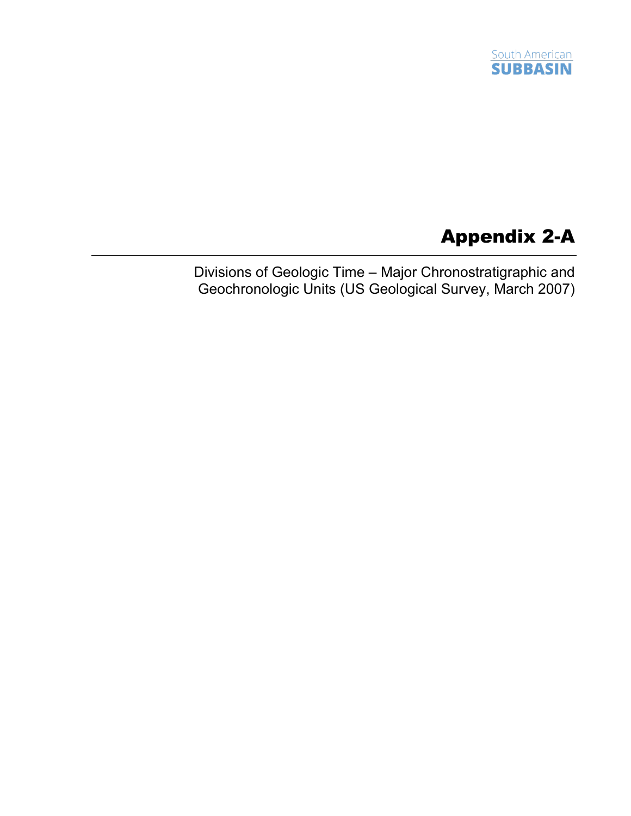

## Appendix 2-A

Divisions of Geologic Time – Major Chronostratigraphic and Geochronologic Units (US Geological Survey, March 2007)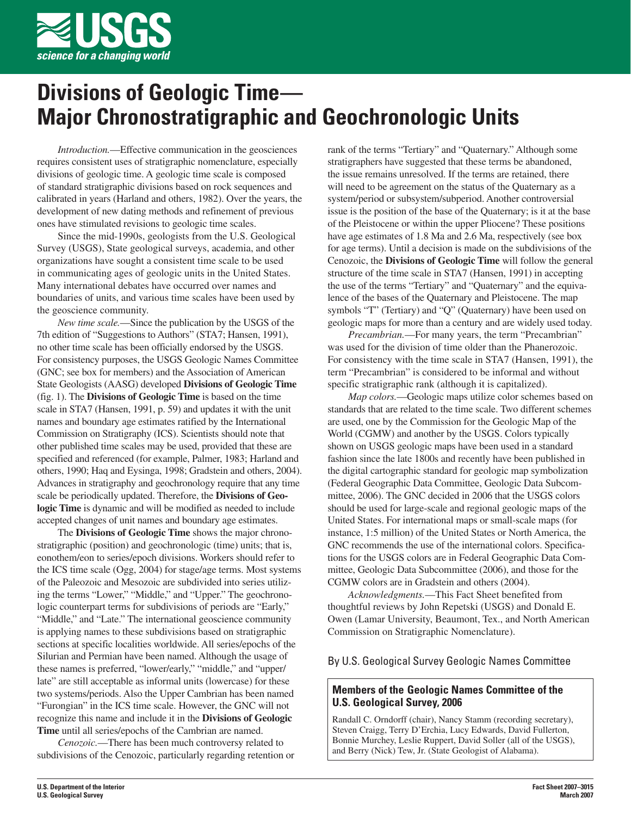

# **Divisions of Geologic Time— Major Chronostratigraphic and Geochronologic Units**

*Introduction.*—Effective communication in the geosciences requires consistent uses of stratigraphic nomenclature, especially divisions of geologic time. A geologic time scale is composed of standard stratigraphic divisions based on rock sequences and calibrated in years (Harland and others, 1982). Over the years, the development of new dating methods and refinement of previous ones have stimulated revisions to geologic time scales.

Since the mid-1990s, geologists from the U.S. Geological Survey (USGS), State geological surveys, academia, and other organizations have sought a consistent time scale to be used in communicating ages of geologic units in the United States. Many international debates have occurred over names and boundaries of units, and various time scales have been used by the geoscience community.

*New time scale.*—Since the publication by the USGS of the 7th edition of "Suggestions to Authors" (STA7; Hansen, 1991), no other time scale has been officially endorsed by the USGS. For consistency purposes, the USGS Geologic Names Committee (GNC; see box for members) and the Association of American State Geologists (AASG) developed **Divisions of Geologic Time** (fig. 1). The **Divisions of Geologic Time** is based on the time scale in STA7 (Hansen, 1991, p. 59) and updates it with the unit names and boundary age estimates ratified by the International Commission on Stratigraphy (ICS). Scientists should note that other published time scales may be used, provided that these are specified and referenced (for example, Palmer, 1983; Harland and others, 1990; Haq and Eysinga, 1998; Gradstein and others, 2004). Advances in stratigraphy and geochronology require that any time scale be periodically updated. Therefore, the **Divisions of Geologic Time** is dynamic and will be modified as needed to include accepted changes of unit names and boundary age estimates.

The **Divisions of Geologic Time** shows the major chronostratigraphic (position) and geochronologic (time) units; that is, eonothem/eon to series/epoch divisions. Workers should refer to the ICS time scale (Ogg, 2004) for stage/age terms. Most systems of the Paleozoic and Mesozoic are subdivided into series utilizing the terms "Lower," "Middle," and "Upper." The geochronologic counterpart terms for subdivisions of periods are "Early," "Middle," and "Late." The international geoscience community is applying names to these subdivisions based on stratigraphic sections at specific localities worldwide. All series/epochs of the Silurian and Permian have been named. Although the usage of these names is preferred, "lower/early," "middle," and "upper/ late" are still acceptable as informal units (lowercase) for these two systems/periods. Also the Upper Cambrian has been named "Furongian" in the ICS time scale. However, the GNC will not recognize this name and include it in the **Divisions of Geologic Time** until all series/epochs of the Cambrian are named.

*Cenozoic.*—There has been much controversy related to subdivisions of the Cenozoic, particularly regarding retention or

rank of the terms "Tertiary" and "Quaternary." Although some stratigraphers have suggested that these terms be abandoned, the issue remains unresolved. If the terms are retained, there will need to be agreement on the status of the Quaternary as a system/period or subsystem/subperiod. Another controversial issue is the position of the base of the Quaternary; is it at the base of the Pleistocene or within the upper Pliocene? These positions have age estimates of 1.8 Ma and 2.6 Ma, respectively (see box for age terms). Until a decision is made on the subdivisions of the Cenozoic, the **Divisions of Geologic Time** will follow the general structure of the time scale in STA7 (Hansen, 1991) in accepting the use of the terms "Tertiary" and "Quaternary" and the equivalence of the bases of the Quaternary and Pleistocene. The map symbols "T" (Tertiary) and "Q" (Quaternary) have been used on geologic maps for more than a century and are widely used today.

*Precambrian.*—For many years, the term "Precambrian" was used for the division of time older than the Phanerozoic. For consistency with the time scale in STA7 (Hansen, 1991), the term "Precambrian" is considered to be informal and without specific stratigraphic rank (although it is capitalized).

*Map colors.*—Geologic maps utilize color schemes based on standards that are related to the time scale. Two different schemes are used, one by the Commission for the Geologic Map of the World (CGMW) and another by the USGS. Colors typically shown on USGS geologic maps have been used in a standard fashion since the late 1800s and recently have been published in the digital cartographic standard for geologic map symbolization (Federal Geographic Data Committee, Geologic Data Subcommittee, 2006). The GNC decided in 2006 that the USGS colors should be used for large-scale and regional geologic maps of the United States. For international maps or small-scale maps (for instance, 1:5 million) of the United States or North America, the GNC recommends the use of the international colors. Specifications for the USGS colors are in Federal Geographic Data Committee, Geologic Data Subcommittee (2006), and those for the CGMW colors are in Gradstein and others (2004).

*Acknowledgments.*—This Fact Sheet benefited from thoughtful reviews by John Repetski (USGS) and Donald E. Owen (Lamar University, Beaumont, Tex., and North American Commission on Stratigraphic Nomenclature).

#### By U.S. Geological Survey Geologic Names Committee

#### **Members of the Geologic Names Committee of the U.S. Geological Survey, 2006**

Randall C. Orndorff (chair), Nancy Stamm (recording secretary), Steven Craigg, Terry D'Erchia, Lucy Edwards, David Fullerton, Bonnie Murchey, Leslie Ruppert, David Soller (all of the USGS), and Berry (Nick) Tew, Jr. (State Geologist of Alabama).